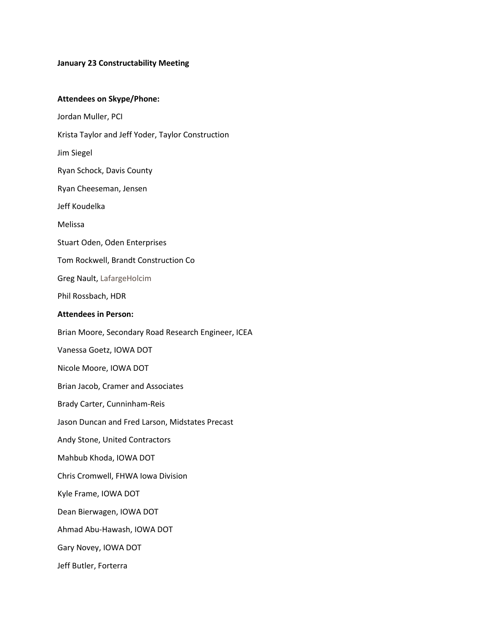#### **January 23 Constructability Meeting**

#### **Attendees on Skype/Phone:**

Jordan Muller, PCI

Krista Taylor and Jeff Yoder, Taylor Construction

Jim Siegel

Ryan Schock, Davis County

Ryan Cheeseman, Jensen

Jeff Koudelka

Melissa

Stuart Oden, Oden Enterprises

Tom Rockwell, Brandt Construction Co

Greg Nault, LafargeHolcim

Phil Rossbach, HDR

#### **Attendees in Person:**

Brian Moore, Secondary Road Research Engineer, ICEA

Vanessa Goetz, IOWA DOT

Nicole Moore, IOWA DOT

Brian Jacob, Cramer and Associates

Brady Carter, Cunninham-Reis

Jason Duncan and Fred Larson, Midstates Precast

Andy Stone, United Contractors

Mahbub Khoda, IOWA DOT

Chris Cromwell, FHWA Iowa Division

Kyle Frame, IOWA DOT

Dean Bierwagen, IOWA DOT

Ahmad Abu-Hawash, IOWA DOT

Gary Novey, IOWA DOT

Jeff Butler, Forterra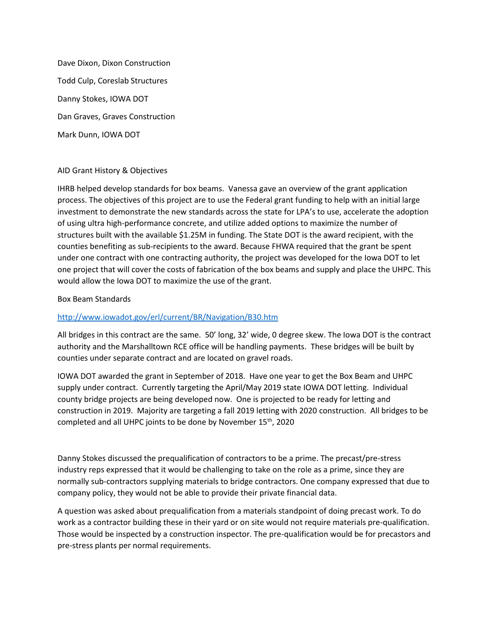Dave Dixon, Dixon Construction Todd Culp, Coreslab Structures Danny Stokes, IOWA DOT Dan Graves, Graves Construction Mark Dunn, IOWA DOT

### AID Grant History & Objectives

IHRB helped develop standards for box beams. Vanessa gave an overview of the grant application process. The objectives of this project are to use the Federal grant funding to help with an initial large investment to demonstrate the new standards across the state for LPA's to use, accelerate the adoption of using ultra high-performance concrete, and utilize added options to maximize the number of structures built with the available \$1.25M in funding. The State DOT is the award recipient, with the counties benefiting as sub-recipients to the award. Because FHWA required that the grant be spent under one contract with one contracting authority, the project was developed for the Iowa DOT to let one project that will cover the costs of fabrication of the box beams and supply and place the UHPC. This would allow the Iowa DOT to maximize the use of the grant.

### Box Beam Standards

### <http://www.iowadot.gov/erl/current/BR/Navigation/B30.htm>

All bridges in this contract are the same. 50' long, 32' wide, 0 degree skew. The Iowa DOT is the contract authority and the Marshalltown RCE office will be handling payments. These bridges will be built by counties under separate contract and are located on gravel roads.

IOWA DOT awarded the grant in September of 2018. Have one year to get the Box Beam and UHPC supply under contract. Currently targeting the April/May 2019 state IOWA DOT letting. Individual county bridge projects are being developed now. One is projected to be ready for letting and construction in 2019. Majority are targeting a fall 2019 letting with 2020 construction. All bridges to be completed and all UHPC joints to be done by November 15<sup>th</sup>, 2020

Danny Stokes discussed the prequalification of contractors to be a prime. The precast/pre-stress industry reps expressed that it would be challenging to take on the role as a prime, since they are normally sub-contractors supplying materials to bridge contractors. One company expressed that due to company policy, they would not be able to provide their private financial data.

A question was asked about prequalification from a materials standpoint of doing precast work. To do work as a contractor building these in their yard or on site would not require materials pre-qualification. Those would be inspected by a construction inspector. The pre-qualification would be for precastors and pre-stress plants per normal requirements.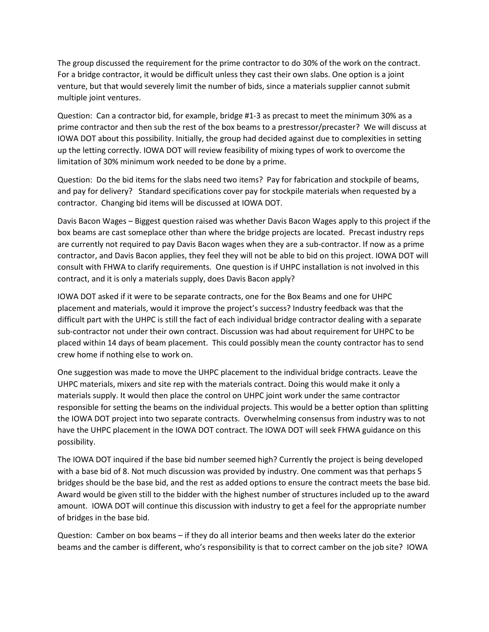The group discussed the requirement for the prime contractor to do 30% of the work on the contract. For a bridge contractor, it would be difficult unless they cast their own slabs. One option is a joint venture, but that would severely limit the number of bids, since a materials supplier cannot submit multiple joint ventures.

Question: Can a contractor bid, for example, bridge #1-3 as precast to meet the minimum 30% as a prime contractor and then sub the rest of the box beams to a prestressor/precaster? We will discuss at IOWA DOT about this possibility. Initially, the group had decided against due to complexities in setting up the letting correctly. IOWA DOT will review feasibility of mixing types of work to overcome the limitation of 30% minimum work needed to be done by a prime.

Question: Do the bid items for the slabs need two items? Pay for fabrication and stockpile of beams, and pay for delivery? Standard specifications cover pay for stockpile materials when requested by a contractor. Changing bid items will be discussed at IOWA DOT.

Davis Bacon Wages – Biggest question raised was whether Davis Bacon Wages apply to this project if the box beams are cast someplace other than where the bridge projects are located. Precast industry reps are currently not required to pay Davis Bacon wages when they are a sub-contractor. If now as a prime contractor, and Davis Bacon applies, they feel they will not be able to bid on this project. IOWA DOT will consult with FHWA to clarify requirements. One question is if UHPC installation is not involved in this contract, and it is only a materials supply, does Davis Bacon apply?

IOWA DOT asked if it were to be separate contracts, one for the Box Beams and one for UHPC placement and materials, would it improve the project's success? Industry feedback was that the difficult part with the UHPC is still the fact of each individual bridge contractor dealing with a separate sub-contractor not under their own contract. Discussion was had about requirement for UHPC to be placed within 14 days of beam placement. This could possibly mean the county contractor has to send crew home if nothing else to work on.

One suggestion was made to move the UHPC placement to the individual bridge contracts. Leave the UHPC materials, mixers and site rep with the materials contract. Doing this would make it only a materials supply. It would then place the control on UHPC joint work under the same contractor responsible for setting the beams on the individual projects. This would be a better option than splitting the IOWA DOT project into two separate contracts. Overwhelming consensus from industry was to not have the UHPC placement in the IOWA DOT contract. The IOWA DOT will seek FHWA guidance on this possibility.

The IOWA DOT inquired if the base bid number seemed high? Currently the project is being developed with a base bid of 8. Not much discussion was provided by industry. One comment was that perhaps 5 bridges should be the base bid, and the rest as added options to ensure the contract meets the base bid. Award would be given still to the bidder with the highest number of structures included up to the award amount. IOWA DOT will continue this discussion with industry to get a feel for the appropriate number of bridges in the base bid.

Question: Camber on box beams – if they do all interior beams and then weeks later do the exterior beams and the camber is different, who's responsibility is that to correct camber on the job site? IOWA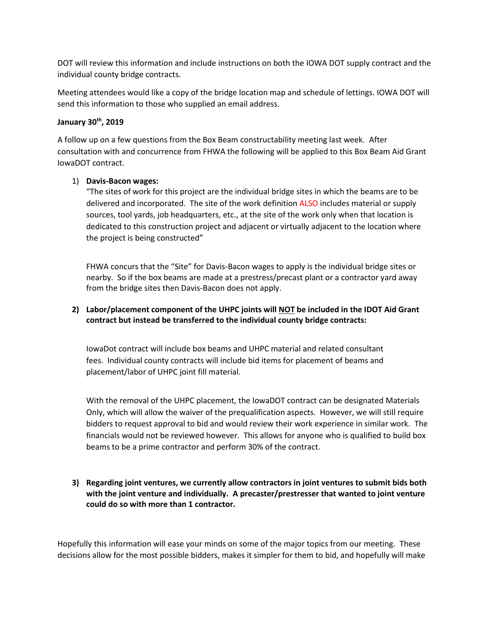DOT will review this information and include instructions on both the IOWA DOT supply contract and the individual county bridge contracts.

Meeting attendees would like a copy of the bridge location map and schedule of lettings. IOWA DOT will send this information to those who supplied an email address.

### **January 30th, 2019**

A follow up on a few questions from the Box Beam constructability meeting last week. After consultation with and concurrence from FHWA the following will be applied to this Box Beam Aid Grant IowaDOT contract.

## 1) **Davis-Bacon wages:**

"The sites of work for this project are the individual bridge sites in which the beams are to be delivered and incorporated. The site of the work definition ALSO includes material or supply sources, tool yards, job headquarters, etc., at the site of the work only when that location is dedicated to this construction project and adjacent or virtually adjacent to the location where the project is being constructed"

FHWA concurs that the "Site" for Davis-Bacon wages to apply is the individual bridge sites or nearby. So if the box beams are made at a prestress/precast plant or a contractor yard away from the bridge sites then Davis-Bacon does not apply.

# **2) Labor/placement component of the UHPC joints will NOT be included in the IDOT Aid Grant contract but instead be transferred to the individual county bridge contracts:**

IowaDot contract will include box beams and UHPC material and related consultant fees. Individual county contracts will include bid items for placement of beams and placement/labor of UHPC joint fill material.

With the removal of the UHPC placement, the IowaDOT contract can be designated Materials Only, which will allow the waiver of the prequalification aspects. However, we will still require bidders to request approval to bid and would review their work experience in similar work. The financials would not be reviewed however. This allows for anyone who is qualified to build box beams to be a prime contractor and perform 30% of the contract.

# **3) Regarding joint ventures, we currently allow contractors in joint ventures to submit bids both with the joint venture and individually. A precaster/prestresser that wanted to joint venture could do so with more than 1 contractor.**

Hopefully this information will ease your minds on some of the major topics from our meeting. These decisions allow for the most possible bidders, makes it simpler for them to bid, and hopefully will make